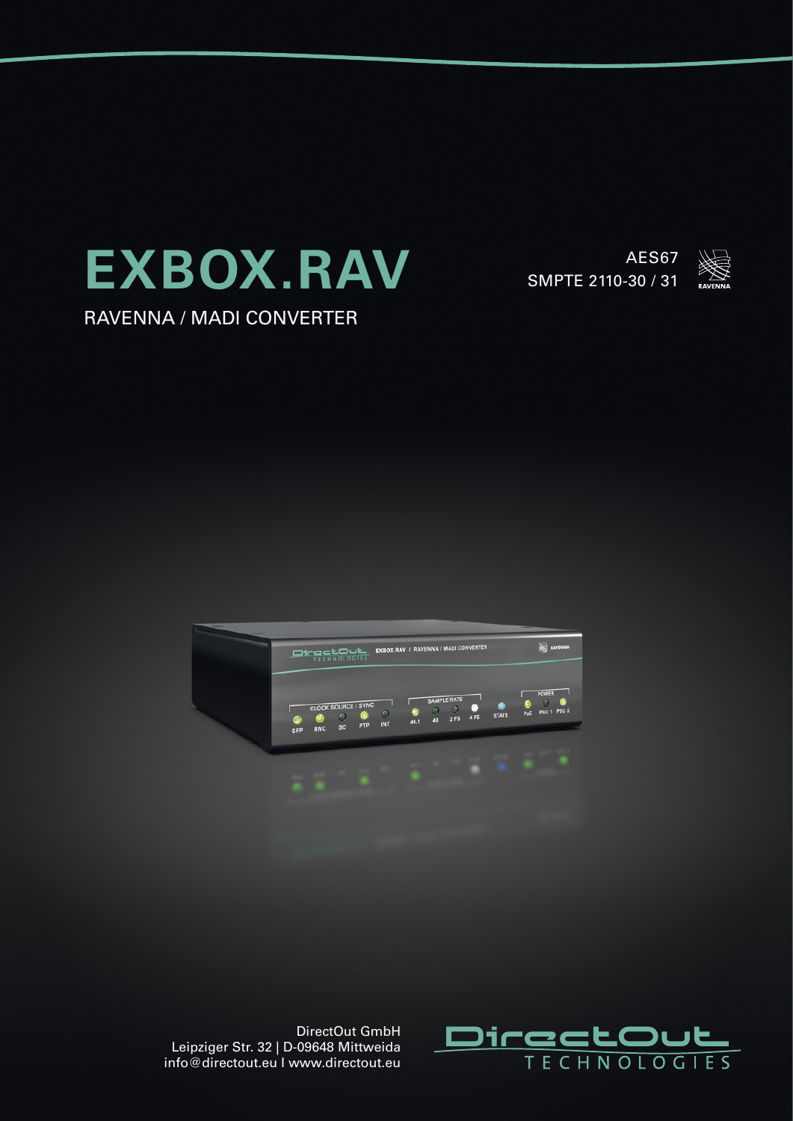

RAVENNA / MADI CONVERTER

AES67 SMPTE 2110-30 / 31







DirectOut GmbH Leipziger Str. 32 | D-09648 Mittweida info@directout.eu I www.directout.eu